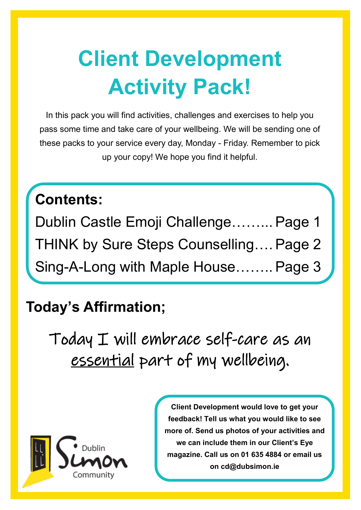# **Client Development Activity Pack!**

In this pack you will find activities, challenges and exercises to help you pass some time and take care of your wellbeing. We will be sending one of these packs to your service every day, Monday - Friday. Remember to pick up your copy! We hope you find it helpful.

### **Contents:**

Dublin Castle Emoji Challenge……... Page 1 THINK by Sure Steps Counselling…. Page 2 Sing-A-Long with Maple House……..Page 3

#### **Today's Affirmation;**

Today I will embrace self-care as an essential part of my wellbeing.



**Client Development would love to get your feedback! Tell us what you would like to see more of. Send us photos of your activities and we can include them in our Client's Eye magazine. Call us on 01 635 4884 or email us on cd@dubsimon.ie**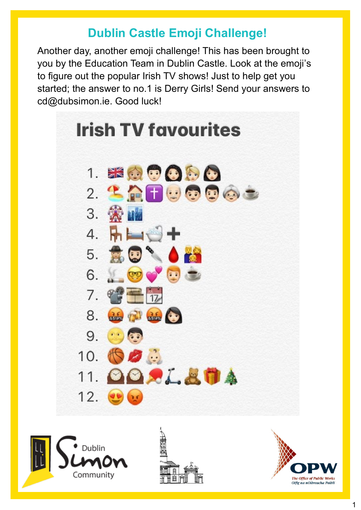#### **Dublin Castle Emoji Challenge!**

Another day, another emoji challenge! This has been brought to you by the Education Team in Dublin Castle. Look at the emoji's to figure out the popular Irish TV shows! Just to help get you started; the answer to no.1 is Derry Girls! Send your answers to cd@dubsimon.ie. Good luck!







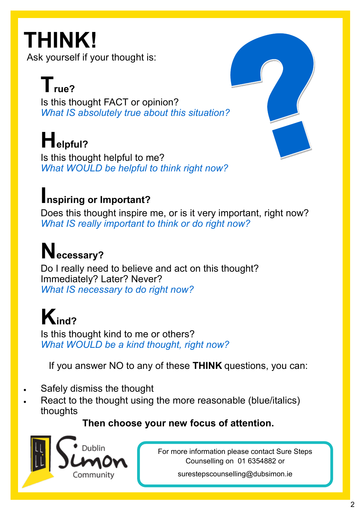# **THINK!**

Ask yourself if your thought is:

## $\mathbf{T}_{\text{rule}^2}$

 Is this thought FACT or opinion?  *What IS absolutely true about this situation?* 

# **Helpful?**

 Is this thought helpful to me?  *What WOULD be helpful to think right now?* 

#### **Inspiring or Important?**

 Does this thought inspire me, or is it very important, right now?  *What IS really important to think or do right now?* 

## **Necessary?**

 Do I really need to believe and act on this thought? Immediately? Later? Never?  *What IS necessary to do right now?* 

## **Kind?**

 Is this thought kind to me or others?  *What WOULD be a kind thought, right now?* 

If you answer NO to any of these **THINK** questions, you can:

- Safely dismiss the thought
- React to the thought using the more reasonable (blue/italics) thoughts

#### **Then choose your new focus of attention.**



For more information please contact Sure Steps Counselling on 01 6354882 or

surestepscounselling@dubsimon.ie